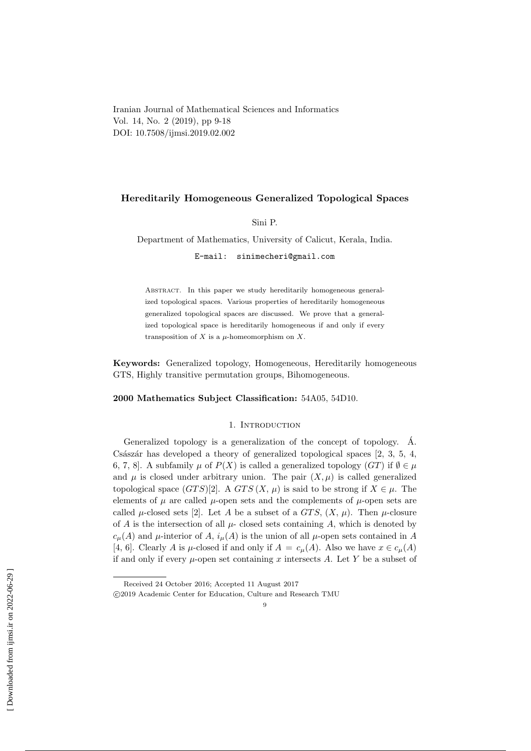Iranian Journal of Mathematical Sciences and Informatics Vol. 14, No. 2 (2019), pp 9-18 DOI: 10.7508/ijmsi.2019.02.002

# Hereditarily Homogeneous Generalized Topological Spaces

Sini P.

Department of Mathematics, University of Calicut, Kerala, India.

E-mail: sinimecheri@gmail.com

Abstract. In this paper we study hereditarily homogeneous generalized topological spaces. Various properties of hereditarily homogeneous generalized topological spaces are discussed. We prove that a generalized topological space is hereditarily homogeneous if and only if every transposition of  $X$  is a  $\mu$ -homeomorphism on  $X$ .

Keywords: Generalized topology, Homogeneous, Hereditarily homogeneous GTS, Highly transitive permutation groups, Bihomogeneous.

## 2000 Mathematics Subject Classification: 54A05, 54D10.

### 1. INTRODUCTION

Generalized topology is a generalization of the concept of topology.  $\AA$ . Császár has developed a theory of generalized topological spaces  $[2, 3, 5, 4, 4]$ 6, 7, 8]. A subfamily  $\mu$  of  $P(X)$  is called a generalized topology  $(GT)$  if  $\emptyset \in \mu$ and  $\mu$  is closed under arbitrary union. The pair  $(X, \mu)$  is called generalized topological space  $(GTS)[2]$ . A  $GTS(X, \mu)$  is said to be strong if  $X \in \mu$ . The elements of  $\mu$  are called  $\mu$ -open sets and the complements of  $\mu$ -open sets are called  $\mu$ -closed sets [2]. Let A be a subset of a GTS,  $(X, \mu)$ . Then  $\mu$ -closure of A is the intersection of all  $\mu$ - closed sets containing A, which is denoted by  $c_{\mu}(A)$  and  $\mu$ -interior of A,  $i_{\mu}(A)$  is the union of all  $\mu$ -open sets contained in A [4, 6]. Clearly A is  $\mu$ -closed if and only if  $A = c_{\mu}(A)$ . Also we have  $x \in c_{\mu}(A)$ if and only if every  $\mu$ -open set containing x intersects A. Let Y be a subset of

Received 24 October 2016; Accepted 11 August 2017

c 2019 Academic Center for Education, Culture and Research TMU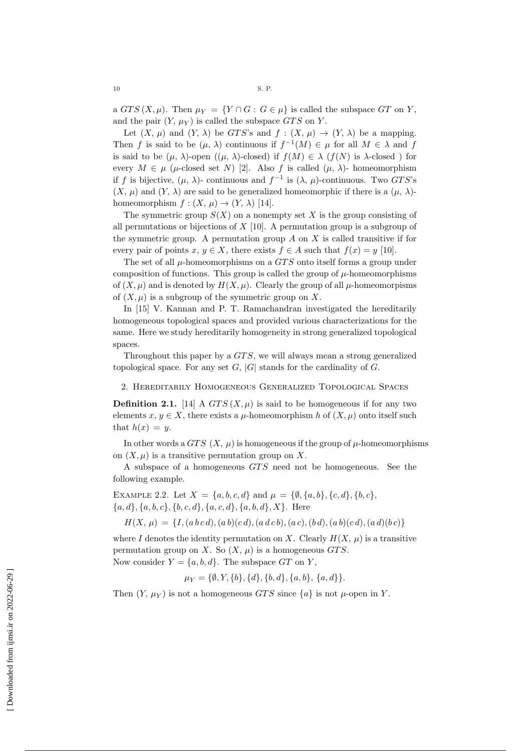a  $GTS(X, \mu)$ . Then  $\mu_Y = \{Y \cap G : G \in \mu\}$  is called the subspace GT on Y, and the pair  $(Y, \mu_Y)$  is called the subspace GTS on Y.

Let  $(X, \mu)$  and  $(Y, \lambda)$  be GTS's and  $f : (X, \mu) \to (Y, \lambda)$  be a mapping. Then f is said to be  $(\mu, \lambda)$  continuous if  $f^{-1}(M) \in \mu$  for all  $M \in \lambda$  and f is said to be  $(\mu, \lambda)$ -open  $((\mu, \lambda)$ -closed) if  $f(M) \in \lambda$  ( $f(N)$ ) is  $\lambda$ -closed) for every  $M \in \mu$  ( $\mu$ -closed set N) [2]. Also f is called ( $\mu$ ,  $\lambda$ )-homeomorphism if f is bijective,  $(\mu, \lambda)$ - continuous and  $f^{-1}$  is  $(\lambda, \mu)$ -continuous. Two GTS's  $(X, \mu)$  and  $(Y, \lambda)$  are said to be generalized homeomorphic if there is a  $(\mu, \lambda)$ homeomorphism  $f: (X, \mu) \to (Y, \lambda)$  [14].

The symmetric group  $S(X)$  on a nonempty set X is the group consisting of all permutations or bijections of  $X$  [10]. A permutation group is a subgroup of the symmetric group. A permutation group  $A$  on  $X$  is called transitive if for every pair of points x,  $y \in X$ , there exists  $f \in A$  such that  $f(x) = y$  [10].

The set of all  $\mu$ -homeomorphisms on a GTS onto itself forms a group under composition of functions. This group is called the group of  $\mu$ -homeomorphisms of  $(X, \mu)$  and is denoted by  $H(X, \mu)$ . Clearly the group of all  $\mu$ -homeomorpisms of  $(X, \mu)$  is a subgroup of the symmetric group on X.

In [15] V. Kannan and P. T. Ramachandran investigated the hereditarily homogeneous topological spaces and provided various characterizations for the same. Here we study hereditarily homogeneity in strong generalized topological spaces.

Throughout this paper by a GTS, we will always mean a strong generalized topological space. For any set  $G$ ,  $|G|$  stands for the cardinality of  $G$ .

2. Hereditarily Homogeneous Generalized Topological Spaces

**Definition 2.1.** [14] A  $GTS(X, \mu)$  is said to be homogeneous if for any two elements  $x, y \in X$ , there exists a  $\mu$ -homeomorphism h of  $(X, \mu)$  onto itself such that  $h(x) = y$ .

In other words a GTS  $(X, \mu)$  is homogeneous if the group of  $\mu$ -homeomorphisms on  $(X, \mu)$  is a transitive permutation group on X.

A subspace of a homogeneous GTS need not be homogeneous. See the following example.

EXAMPLE 2.2. Let  $X = \{a, b, c, d\}$  and  $\mu = \{\emptyset, \{a, b\}, \{c, d\}, \{b, c\},\}$  ${a, d}, {a, b, c}, {b, c, d}, {a, c, d}, {a, b, d}, X$ . Here

 $H(X, \mu) = \{I, (abcd), (ab)(cd), (adcb), (ac), (bd), (ab)(cd), (ad)(bc)\}\$ 

where I denotes the identity permutation on X. Clearly  $H(X, \mu)$  is a transitive permutation group on X. So  $(X, \mu)$  is a homogeneous GTS. Now consider  $Y = \{a, b, d\}$ . The subspace GT on Y,

 $\mu_Y = \{\emptyset, Y, \{b\}, \{d\}, \{b, d\}, \{a, b\}, \{a, d\}\}.$ 

Then  $(Y, \mu_Y)$  is not a homogeneous GTS since  $\{a\}$  is not  $\mu$ -open in Y.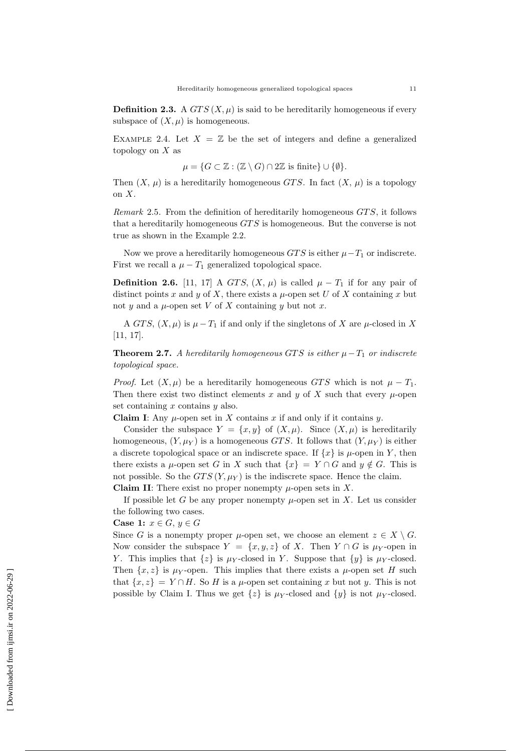**Definition 2.3.** A  $GTS(X, \mu)$  is said to be hereditarily homogeneous if every subspace of  $(X, \mu)$  is homogeneous.

EXAMPLE 2.4. Let  $X = \mathbb{Z}$  be the set of integers and define a generalized topology on  $X$  as

$$
\mu = \{ G \subset \mathbb{Z} : (\mathbb{Z} \setminus G) \cap 2\mathbb{Z} \text{ is finite } \} \cup \{ \emptyset \}.
$$

Then  $(X, \mu)$  is a hereditarily homogeneous GTS. In fact  $(X, \mu)$  is a topology on X.

*Remark* 2.5. From the definition of hereditarily homogeneous  $GTS$ , it follows that a hereditarily homogeneous  $GTS$  is homogeneous. But the converse is not true as shown in the Example 2.2.

Now we prove a hereditarily homogeneous  $GTS$  is either  $\mu-T_1$  or indiscrete. First we recall a  $\mu - T_1$  generalized topological space.

**Definition 2.6.** [11, 17] A GTS,  $(X, \mu)$  is called  $\mu - T_1$  if for any pair of distinct points x and y of X, there exists a  $\mu$ -open set U of X containing x but not y and a  $\mu$ -open set V of X containing y but not x.

A GTS,  $(X, \mu)$  is  $\mu - T_1$  if and only if the singletons of X are  $\mu$ -closed in X [11, 17].

**Theorem 2.7.** A hereditarily homogeneous GTS is either  $\mu - T_1$  or indiscrete topological space.

*Proof.* Let  $(X, \mu)$  be a hereditarily homogeneous GTS which is not  $\mu - T_1$ . Then there exist two distinct elements x and y of X such that every  $\mu$ -open set containing  $x$  contains  $y$  also.

**Claim I:** Any  $\mu$ -open set in X contains x if and only if it contains  $\eta$ .

Consider the subspace  $Y = \{x, y\}$  of  $(X, \mu)$ . Since  $(X, \mu)$  is hereditarily homogeneous,  $(Y, \mu_Y)$  is a homogeneous GTS. It follows that  $(Y, \mu_Y)$  is either a discrete topological space or an indiscrete space. If  $\{x\}$  is  $\mu$ -open in Y, then there exists a  $\mu$ -open set G in X such that  $\{x\} = Y \cap G$  and  $y \notin G$ . This is not possible. So the  $GTS(Y, \mu_Y)$  is the indiscrete space. Hence the claim. **Claim II:** There exist no proper nonempty  $\mu$ -open sets in X.

If possible let G be any proper nonempty  $\mu$ -open set in X. Let us consider

the following two cases. Case 1:  $x \in G$ ,  $y \in G$ 

Since G is a nonempty proper  $\mu$ -open set, we choose an element  $z \in X \setminus G$ . Now consider the subspace  $Y = \{x, y, z\}$  of X. Then  $Y \cap G$  is  $\mu_Y$ -open in Y. This implies that  $\{z\}$  is  $\mu_Y$ -closed in Y. Suppose that  $\{y\}$  is  $\mu_Y$ -closed. Then  $\{x, z\}$  is  $\mu$ y-open. This implies that there exists a  $\mu$ -open set H such that  $\{x, z\} = Y \cap H$ . So H is a  $\mu$ -open set containing x but not y. This is not possible by Claim I. Thus we get  $\{z\}$  is  $\mu_Y$ -closed and  $\{y\}$  is not  $\mu_Y$ -closed.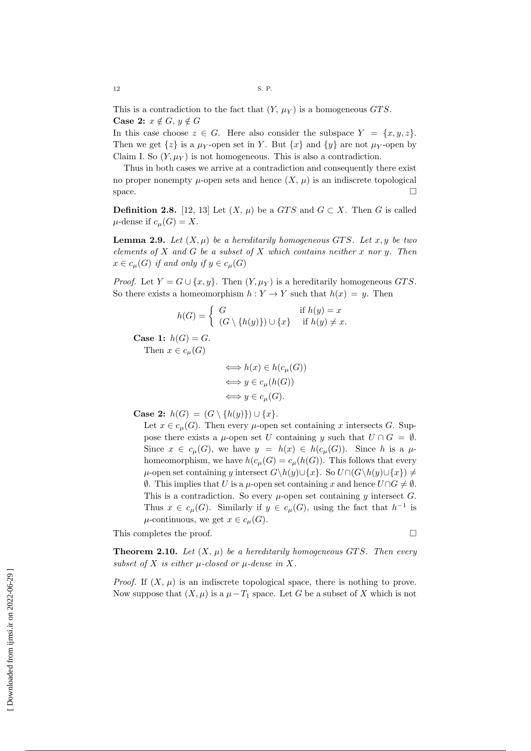This is a contradiction to the fact that  $(Y, \mu_Y)$  is a homogeneous GTS. Case 2:  $x \notin G$ ,  $y \notin G$ 

In this case choose  $z \in G$ . Here also consider the subspace  $Y = \{x, y, z\}$ . Then we get  $\{z\}$  is a  $\mu_Y$ -open set in Y. But  $\{x\}$  and  $\{y\}$  are not  $\mu_Y$ -open by Claim I. So  $(Y, \mu_Y)$  is not homogeneous. This is also a contradiction.

Thus in both cases we arrive at a contradiction and consequently there exist no proper nonempty  $\mu$ -open sets and hence  $(X, \mu)$  is an indiscrete topological space.  $\Box$ 

**Definition 2.8.** [12, 13] Let  $(X, \mu)$  be a GTS and  $G \subset X$ . Then G is called  $\mu$ -dense if  $c_{\mu}(G) = X$ .

**Lemma 2.9.** Let  $(X, \mu)$  be a hereditarily homogeneous GTS. Let x, y be two elements of  $X$  and  $G$  be a subset of  $X$  which contains neither  $x$  nor  $y$ . Then  $x \in c_u(G)$  if and only if  $y \in c_u(G)$ 

*Proof.* Let  $Y = G \cup \{x, y\}$ . Then  $(Y, \mu_Y)$  is a hereditarily homogeneous GTS. So there exists a homeomorphism  $h: Y \to Y$  such that  $h(x) = y$ . Then

$$
h(G) = \begin{cases} G & \text{if } h(y) = x \\ (G \setminus \{h(y)\}) \cup \{x\} & \text{if } h(y) \neq x. \end{cases}
$$

Case 1:  $h(G) = G$ .

Then  $x \in c_{\mu}(G)$ 

$$
\iff h(x) \in h(c_{\mu}(G))
$$
  
\n
$$
\iff y \in c_{\mu}(h(G))
$$
  
\n
$$
\iff y \in c_{\mu}(G).
$$

**Case 2:**  $h(G) = (G \setminus \{h(y)\}) \cup \{x\}.$ 

Let  $x \in c_{\mu}(G)$ . Then every  $\mu$ -open set containing x intersects G. Suppose there exists a  $\mu$ -open set U containing y such that  $U \cap G = \emptyset$ . Since  $x \in c_{\mu}(G)$ , we have  $y = h(x) \in h(c_{\mu}(G))$ . Since h is a  $\mu$ homeomorphism, we have  $h(c_{\mu}(G)) = c_{\mu}(h(G))$ . This follows that every  $\mu$ -open set containing y intersect  $G\backslash h(y)\cup \{x\}$ . So  $U\cap (G\backslash h(y)\cup \{x\})\neq$  $\emptyset$ . This implies that *U* is a *μ*-open set containing *x* and hence *U*∩*G*  $\neq$   $\emptyset$ . This is a contradiction. So every  $\mu$ -open set containing y intersect G. Thus  $x \in c_{\mu}(G)$ . Similarly if  $y \in c_{\mu}(G)$ , using the fact that  $h^{-1}$  is  $\mu$ -continuous, we get  $x \in c_{\mu}(G)$ .

This completes the proof.

**Theorem 2.10.** Let  $(X, \mu)$  be a hereditarily homogeneous GTS. Then every subset of X is either  $\mu$ -closed or  $\mu$ -dense in X.

*Proof.* If  $(X, \mu)$  is an indiscrete topological space, there is nothing to prove. Now suppose that  $(X, \mu)$  is a  $\mu - T_1$  space. Let G be a subset of X which is not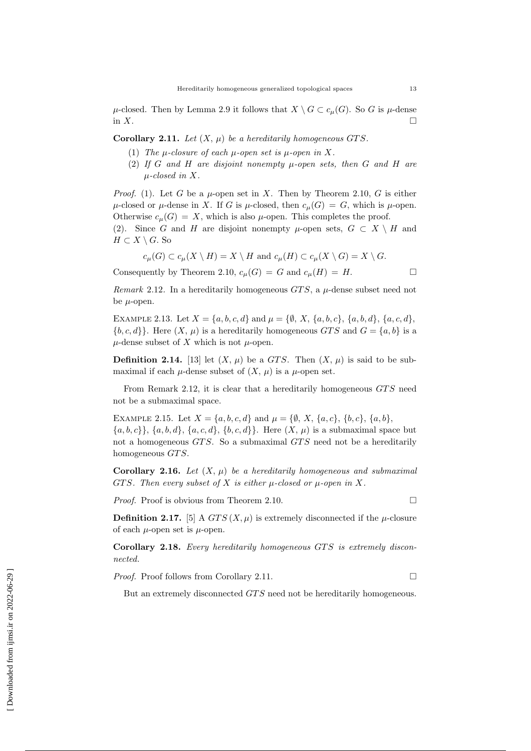$\mu$ -closed. Then by Lemma 2.9 it follows that  $X \setminus G \subset c_{\mu}(G)$ . So G is  $\mu$ -dense in X.

Corollary 2.11. Let  $(X, \mu)$  be a hereditarily homogeneous GTS.

- (1) The  $\mu$ -closure of each  $\mu$ -open set is  $\mu$ -open in X.
- (2) If G and H are disjoint nonempty  $\mu$ -open sets, then G and H are µ-closed in X.

*Proof.* (1). Let G be a  $\mu$ -open set in X. Then by Theorem 2.10, G is either  $\mu$ -closed or  $\mu$ -dense in X. If G is  $\mu$ -closed, then  $c_{\mu}(G) = G$ , which is  $\mu$ -open. Otherwise  $c_u(G) = X$ , which is also  $\mu$ -open. This completes the proof.

(2). Since G and H are disjoint nonempty  $\mu$ -open sets,  $G \subset X \setminus H$  and  $H \subset X \setminus G$ . So

$$
c_{\mu}(G) \subset c_{\mu}(X \setminus H) = X \setminus H \text{ and } c_{\mu}(H) \subset c_{\mu}(X \setminus G) = X \setminus G.
$$

Consequently by Theorem 2.10,  $c_{\mu}(G) = G$  and  $c_{\mu}(H) = H$ .

Remark 2.12. In a hereditarily homogeneous  $GTS$ , a  $\mu$ -dense subset need not be  $\mu$ -open.

EXAMPLE 2.13. Let  $X = \{a, b, c, d\}$  and  $\mu = \{\emptyset, X, \{a, b, c\}, \{a, b, d\}, \{a, c, d\},\}$  ${b, c, d}$ . Here  $(X, \mu)$  is a hereditarily homogeneous GTS and  $G = \{a, b\}$  is a  $\mu$ -dense subset of X which is not  $\mu$ -open.

**Definition 2.14.** [13] let  $(X, \mu)$  be a GTS. Then  $(X, \mu)$  is said to be submaximal if each  $\mu$ -dense subset of  $(X, \mu)$  is a  $\mu$ -open set.

From Remark 2.12, it is clear that a hereditarily homogeneous  $GTS$  need not be a submaximal space.

EXAMPLE 2.15. Let  $X = \{a, b, c, d\}$  and  $\mu = \{\emptyset, X, \{a, c\}, \{b, c\}, \{a, b\},\$  ${a, b, c}$ ,  ${a, b, d}$ ,  ${a, c, d}$ ,  ${b, c, d}$ . Here  $(X, \mu)$  is a submaximal space but not a homogeneous GTS. So a submaximal GTS need not be a hereditarily homogeneous  $GTS$ .

Corollary 2.16. Let  $(X, \mu)$  be a hereditarily homogeneous and submaximal GTS. Then every subset of X is either  $\mu$ -closed or  $\mu$ -open in X.

*Proof.* Proof is obvious from Theorem 2.10.

**Definition 2.17.** [5] A  $GTS(X, \mu)$  is extremely disconnected if the  $\mu$ -closure of each  $\mu$ -open set is  $\mu$ -open.

Corollary 2.18. Every hereditarily homogeneous GTS is extremely disconnected.

*Proof.* Proof follows from Corollary 2.11. □

But an extremely disconnected GTS need not be hereditarily homogeneous.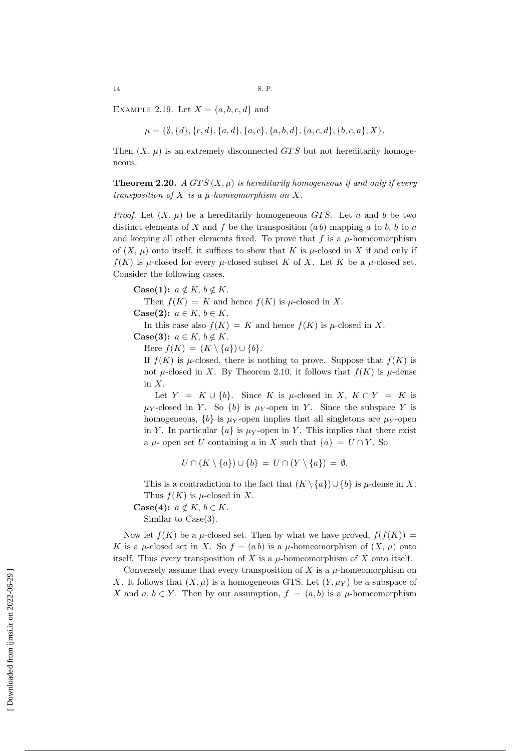EXAMPLE 2.19. Let  $X = \{a, b, c, d\}$  and

$$
\mu = \{\emptyset, \{d\}, \{c, d\}, \{a, d\}, \{a, c\}, \{a, b, d\}, \{a, c, d\}, \{b, c, a\}, X\}
$$

Then  $(X, \mu)$  is an extremely disconnected GTS but not hereditarily homogeneous.

**Theorem 2.20.** A GTS  $(X, \mu)$  is hereditarily homogeneous if and only if every transposition of  $X$  is a  $\mu$ -homeomorphism on  $X$ .

*Proof.* Let  $(X, \mu)$  be a hereditarily homogeneous GTS. Let a and b be two distinct elements of X and f be the transposition  $(ab)$  mapping a to b, b to a and keeping all other elements fixed. To prove that  $f$  is a  $\mu$ -homeomorphism of  $(X, \mu)$  onto itself, it suffices to show that K is  $\mu$ -closed in X if and only if  $f(K)$  is  $\mu$ -closed for every  $\mu$ -closed subset K of X. Let K be a  $\mu$ -closed set. Consider the following cases.

Case(1):  $a \notin K$ ,  $b \notin K$ .

Then  $f(K) = K$  and hence  $f(K)$  is  $\mu$ -closed in X.

Case(2):  $a \in K$ ,  $b \in K$ .

In this case also  $f(K) = K$  and hence  $f(K)$  is  $\mu$ -closed in X.

Case(3):  $a \in K$ ,  $b \notin K$ .

Here  $f(K) = (K \setminus \{a\}) \cup \{b\}.$ 

If  $f(K)$  is  $\mu$ -closed, there is nothing to prove. Suppose that  $f(K)$  is not  $\mu$ -closed in X. By Theorem 2.10, it follows that  $f(K)$  is  $\mu$ -dense in X.

Let  $Y = K \cup \{b\}$ . Since K is  $\mu$ -closed in X,  $K \cap Y = K$  is  $\mu_Y$ -closed in Y. So  $\{b\}$  is  $\mu_Y$ -open in Y. Since the subspace Y is homogeneous,  $\{b\}$  is  $\mu_Y$ -open implies that all singletons are  $\mu_Y$ -open in Y. In particular  $\{a\}$  is  $\mu$ y-open in Y. This implies that there exist a  $\mu$ - open set U containing a in X such that  $\{a\} = U \cap Y$ . So

$$
U \cap (K \setminus \{a\}) \cup \{b\} = U \cap (Y \setminus \{a\}) = \emptyset.
$$

This is a contradiction to the fact that  $(K \setminus \{a\}) \cup \{b\}$  is  $\mu$ -dense in X. Thus  $f(K)$  is  $\mu$ -closed in X.

Case(4):  $a \notin K$ ,  $b \in K$ .

Similar to Case(3).

Now let  $f(K)$  be a  $\mu$ -closed set. Then by what we have proved,  $f(f(K)) =$ K is a  $\mu$ -closed set in X. So  $f = (ab)$  is a  $\mu$ -homeomorphism of  $(X, \mu)$  onto itself. Thus every transposition of X is a  $\mu$ -homeomorphism of X onto itself.

Conversely assume that every transposition of  $X$  is a  $\mu$ -homeomorphism on X. It follows that  $(X, \mu)$  is a homogeneous GTS. Let  $(Y, \mu_Y)$  be a subspace of X and  $a, b \in Y$ . Then by our assumption,  $f = (a, b)$  is a  $\mu$ -homeomorphism

 [\[ Downloaded from ijmsi.ir on 2022-06-29](https://ijmsi.ir/article-1-964-fa.html) ] Downloaded from ijmsi.ir on 2022-06-29]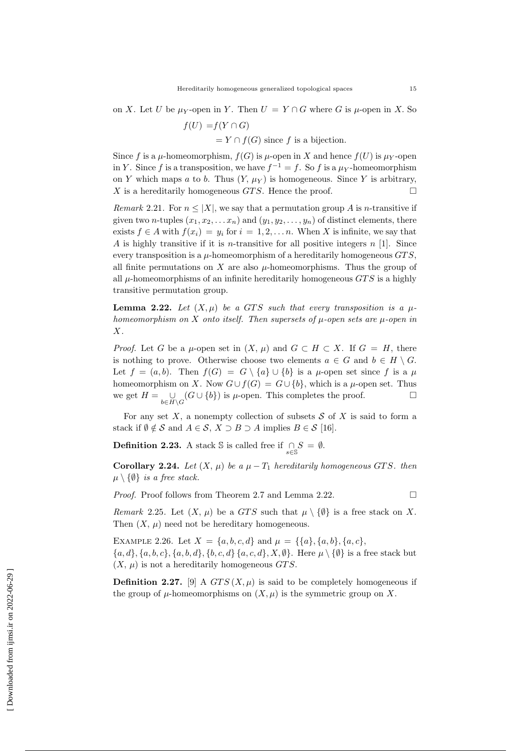on X. Let U be  $\mu_Y$ -open in Y. Then  $U = Y \cap G$  where G is  $\mu$ -open in X. So

$$
f(U) = f(Y \cap G)
$$
  
=  $Y \cap f(G)$  since f is a bijection.

Since f is a  $\mu$ -homeomorphism,  $f(G)$  is  $\mu$ -open in X and hence  $f(U)$  is  $\mu$ <sup>-</sup>open in Y. Since f is a transposition, we have  $f^{-1} = f$ . So f is a  $\mu_Y$ -homeomorphism on Y which maps a to b. Thus  $(Y, \mu_Y)$  is homogeneous. Since Y is arbitrary, X is a hereditarily homogeneous GTS. Hence the proof.  $\square$ 

Remark 2.21. For  $n \leq |X|$ , we say that a permutation group A is n-transitive if given two *n*-tuples  $(x_1, x_2, \ldots, x_n)$  and  $(y_1, y_2, \ldots, y_n)$  of distinct elements, there exists  $f \in A$  with  $f(x_i) = y_i$  for  $i = 1, 2, \ldots, n$ . When X is infinite, we say that A is highly transitive if it is *n*-transitive for all positive integers  $n$  [1]. Since every transposition is a  $\mu$ -homeomorphism of a hereditarily homogeneous  $GTS$ . all finite permutations on  $X$  are also  $\mu$ -homeomorphisms. Thus the group of all  $\mu$ -homeomorphisms of an infinite hereditarily homogeneous  $GTS$  is a highly transitive permutation group.

**Lemma 2.22.** Let  $(X, \mu)$  be a GTS such that every transposition is a  $\mu$ homeomorphism on X onto itself. Then supersets of  $\mu$ -open sets are  $\mu$ -open in X.

*Proof.* Let G be a  $\mu$ -open set in  $(X, \mu)$  and  $G \subset H \subset X$ . If  $G = H$ , there is nothing to prove. Otherwise choose two elements  $a \in G$  and  $b \in H \setminus G$ . Let  $f = (a, b)$ . Then  $f(G) = G \setminus \{a\} \cup \{b\}$  is a  $\mu$ -open set since f is a  $\mu$ homeomorphism on X. Now  $G \cup f(G) = G \cup \{b\}$ , which is a  $\mu$ -open set. Thus we get  $H = \bigcup_{b \in H \backslash G} (G \cup \{b\})$  is  $\mu$ -open. This completes the proof.

For any set X, a nonempty collection of subsets  $S$  of X is said to form a stack if  $\emptyset \notin \mathcal{S}$  and  $A \in \mathcal{S}, X \supset B \supset A$  implies  $B \in \mathcal{S}$  [16].

**Definition 2.23.** A stack S is called free if  $\bigcap_{s \in \mathbb{S}} S = \emptyset$ .

Corollary 2.24. Let  $(X, \mu)$  be a  $\mu - T_1$  hereditarily homogeneous GTS. then  $\mu \setminus \{\emptyset\}$  is a free stack.

*Proof.* Proof follows from Theorem 2.7 and Lemma 2.22.

Remark 2.25. Let  $(X, \mu)$  be a GTS such that  $\mu \setminus \{\emptyset\}$  is a free stack on X. Then  $(X, \mu)$  need not be hereditary homogeneous.

EXAMPLE 2.26. Let  $X = \{a, b, c, d\}$  and  $\mu = \{\{a\}, \{a, b\}, \{a, c\},\}$  ${a, d}, {a, b, c}, {a, b, d}, {b, c, d}, {a, c, d}, X, \emptyset$ . Here  $\mu \setminus {\emptyset}$  is a free stack but  $(X, \mu)$  is not a hereditarily homogeneous GTS.

**Definition 2.27.** [9] A  $GTS(X, \mu)$  is said to be completely homogeneous if the group of  $\mu$ -homeomorphisms on  $(X, \mu)$  is the symmetric group on X.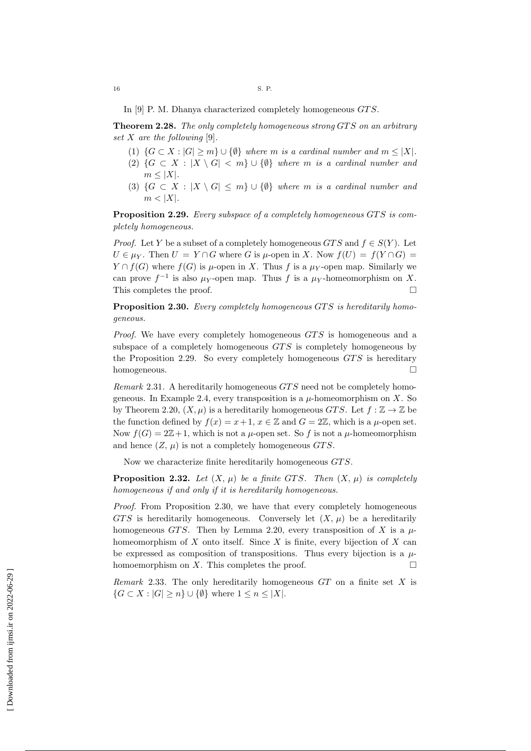In [9] P. M. Dhanya characterized completely homogeneous  $GTS$ .

Theorem 2.28. The only completely homogeneous strong GTS on an arbitrary set X are the following [9].

- (1)  $\{G \subset X : |G| \ge m\} \cup \{\emptyset\}$  where m is a cardinal number and  $m \le |X|$ .
- (2)  $\{G \subset X : |X \setminus G| < m\} \cup \{\emptyset\}$  where m is a cardinal number and  $m \leq |X|$ .
- (3)  $\{G \subset X : |X \setminus G| \leq m\} \cup \{\emptyset\}$  where m is a cardinal number and  $m < |X|$ .

**Proposition 2.29.** Every subspace of a completely homogeneous GTS is completely homogeneous.

*Proof.* Let Y be a subset of a completely homogeneous  $GTS$  and  $f \in S(Y)$ . Let  $U \in \mu_Y$ . Then  $U = Y \cap G$  where G is  $\mu$ -open in X. Now  $f(U) = f(Y \cap G)$  $Y \cap f(G)$  where  $f(G)$  is  $\mu$ -open in X. Thus f is a  $\mu$ y-open map. Similarly we can prove  $f^{-1}$  is also  $\mu_Y$ -open map. Thus f is a  $\mu_Y$ -homeomorphism on X. This completes the proof.

Proposition 2.30. Every completely homogeneous GTS is hereditarily homogeneous.

Proof. We have every completely homogeneous GTS is homogeneous and a subspace of a completely homogeneous  $GTS$  is completely homogeneous by the Proposition 2.29. So every completely homogeneous  $GTS$  is hereditary homogeneous.

Remark 2.31. A hereditarily homogeneous  $GTS$  need not be completely homogeneous. In Example 2.4, every transposition is a  $\mu$ -homeomorphism on X. So by Theorem 2.20,  $(X, \mu)$  is a hereditarily homogeneous GTS. Let  $f : \mathbb{Z} \to \mathbb{Z}$  be the function defined by  $f(x) = x + 1$ ,  $x \in \mathbb{Z}$  and  $G = 2\mathbb{Z}$ , which is a  $\mu$ -open set. Now  $f(G) = 2\mathbb{Z}+1$ , which is not a  $\mu$ -open set. So f is not a  $\mu$ -homeomorphism and hence  $(Z, \mu)$  is not a completely homogeneous GTS.

Now we characterize finite hereditarily homogeneous  $GTS$ .

**Proposition 2.32.** Let  $(X, \mu)$  be a finite GTS. Then  $(X, \mu)$  is completely homogeneous if and only if it is hereditarily homogeneous.

Proof. From Proposition 2.30, we have that every completely homogeneous GTS is hereditarily homogeneous. Conversely let  $(X, \mu)$  be a hereditarily homogeneous GTS. Then by Lemma 2.20, every transposition of X is a  $\mu$ homeomorphism of  $X$  onto itself. Since  $X$  is finite, every bijection of  $X$  can be expressed as composition of transpositions. Thus every bijection is a  $\mu$ homoemorphism on X. This completes the proof.  $\square$ 

Remark 2.33. The only hereditarily homogeneous  $GT$  on a finite set X is  $\{G \subset X : |G| \geq n\} \cup \{\emptyset\}$  where  $1 \leq n \leq |X|$ .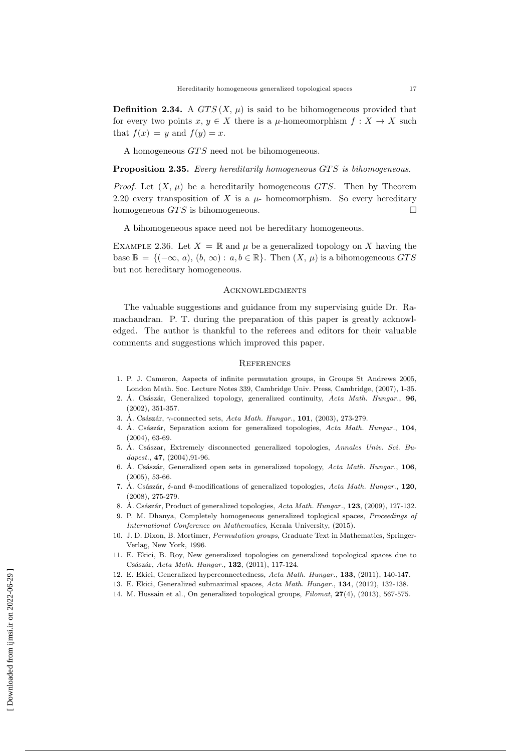**Definition 2.34.** A  $GTS(X, \mu)$  is said to be bihomogeneous provided that for every two points  $x, y \in X$  there is a  $\mu$ -homeomorphism  $f: X \to X$  such that  $f(x) = y$  and  $f(y) = x$ .

A homogeneous GTS need not be bihomogeneous.

### Proposition 2.35. Every hereditarily homogeneous GTS is bihomogeneous.

*Proof.* Let  $(X, \mu)$  be a hereditarily homogeneous *GTS*. Then by Theorem 2.20 every transposition of X is a  $\mu$ - homeomorphism. So every hereditary homogeneous  $GTS$  is bihomogeneous.

A bihomogeneous space need not be hereditary homogeneous.

EXAMPLE 2.36. Let  $X = \mathbb{R}$  and  $\mu$  be a generalized topology on X having the base  $\mathbb{B} = \{(-\infty, a), (b, \infty) : a, b \in \mathbb{R}\}.$  Then  $(X, \mu)$  is a bihomogeneous GTS but not hereditary homogeneous.

## **ACKNOWLEDGMENTS**

The valuable suggestions and guidance from my supervising guide Dr. Ramachandran. P. T. during the preparation of this paper is greatly acknowledged. The author is thankful to the referees and editors for their valuable comments and suggestions which improved this paper.

#### **REFERENCES**

- 1. P. J. Cameron, Aspects of infinite permutation groups, in Groups St Andrews 2005, London Math. Soc. Lecture Notes 339, Cambridge Univ. Press, Cambridge, (2007), 1-35.
- 2. Á. Császár, Generalized topology, generalized continuity,  $Acta Math. Hungar.$ , 96, (2002), 351-357.
- 3. Á. Császár,  $\gamma$ -connected sets, Acta Math. Hungar., 101, (2003), 273-279.
- 4. Á. Császár, Separation axiom for generalized topologies, Acta Math. Hungar., 104, (2004), 63-69.
- 5. Á. Császar, Extremely disconnected generalized topologies, Annales Univ. Sci. Budapest., **47**, (2004), 91-96.
- 6. Á. Császár, Generalized open sets in generalized topology,  $Acta Math. Hungar.$ , 106, (2005), 53-66.
- 7. Á. Császár,  $\delta$ -and  $\theta$ -modifications of generalized topologies, Acta Math. Hungar., 120, (2008), 275-279.
- 8. Á. Császár, Product of generalized topologies, Acta Math. Hungar., 123, (2009), 127-132.
- 9. P. M. Dhanya, Completely homogeneous generalized toplogical spaces, Proceedings of International Conference on Mathematics, Kerala University, (2015).
- 10. J. D. Dixon, B. Mortimer, Permutation groups, Graduate Text in Mathematics, Springer-Verlag, New York, 1996.
- 11. E. Ekici, B. Roy, New generalized topologies on generalized topological spaces due to Császár, Acta Math. Hungar., 132, (2011), 117-124.
- 12. E. Ekici, Generalized hyperconnectedness, Acta Math. Hungar., 133, (2011), 140-147.
- 13. E. Ekici, Generalized submaximal spaces, Acta Math. Hungar., 134, (2012), 132-138.
- 14. M. Hussain et al., On generalized topological groups, Filomat, 27(4), (2013), 567-575.